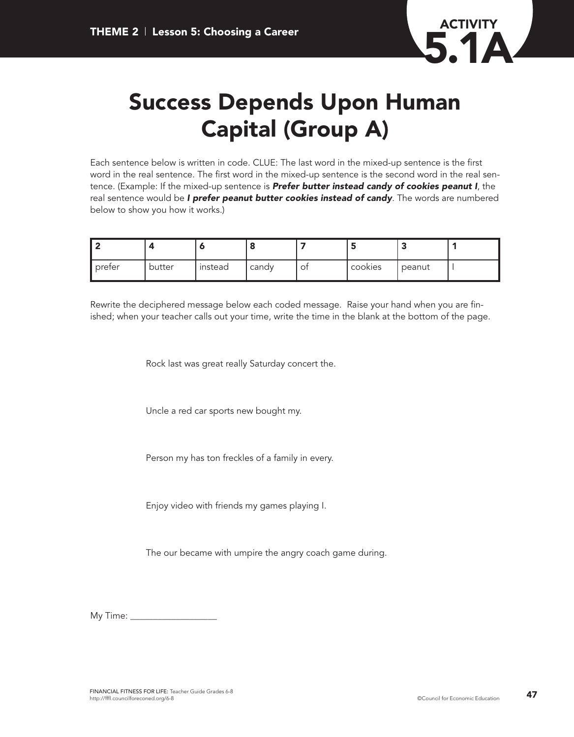

## **Success Depends Upon Human Capital (Group A)**

Each sentence below is written in code. CLUE: The last word in the mixed-up sentence is the first word in the real sentence. The first word in the mixed-up sentence is the second word in the real sentence. (Example: If the mixed-up sentence is *Prefer butter instead candy of cookies peanut I*, the real sentence would be *I prefer peanut butter cookies instead of candy*. The words are numbered below to show you how it works.)

| ll preter | butter | instead | candy | $\mathcal{O}_{1}$ | cookies | peanut |  |
|-----------|--------|---------|-------|-------------------|---------|--------|--|

Rewrite the deciphered message below each coded message. Raise your hand when you are finished; when your teacher calls out your time, write the time in the blank at the bottom of the page.

Rock last was great really Saturday concert the.

Uncle a red car sports new bought my.

Person my has ton freckles of a family in every.

Enjoy video with friends my games playing I.

The our became with umpire the angry coach game during.

My Time: \_\_\_\_\_\_\_\_\_\_\_\_\_\_\_\_\_\_\_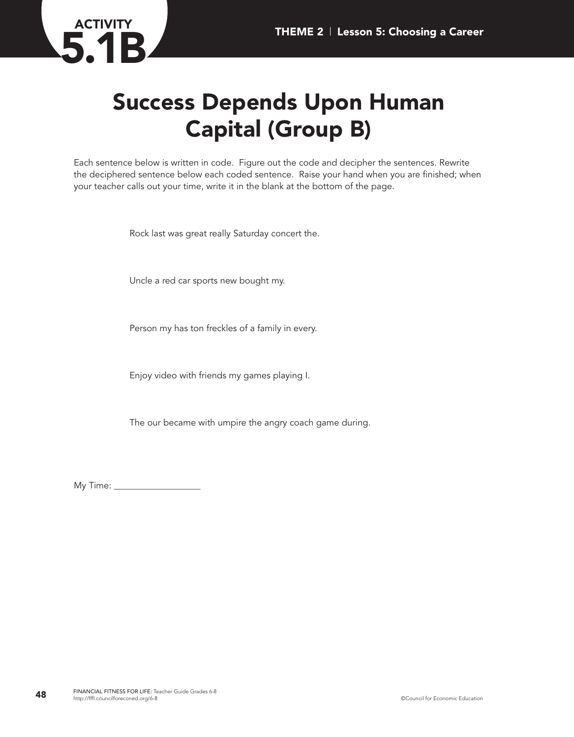## **Success Depends Upon Human Capital (Group B)**

Each sentence below is written in code. Figure out the code and decipher the sentences. Rewrite the deciphered sentence below each coded sentence. Raise your hand when you are finished; when your teacher calls out your time, write it in the blank at the bottom of the page.

Rock last was great really Saturday concert the.

Uncle a red car sports new bought my.

Person my has ton freckles of a family in every.

Enjoy video with friends my games playing I.

The our became with umpire the angry coach game during.

My Time: \_\_\_\_\_\_\_\_\_\_\_\_\_\_\_\_\_\_\_

**ACTIVITY**

**5.1B**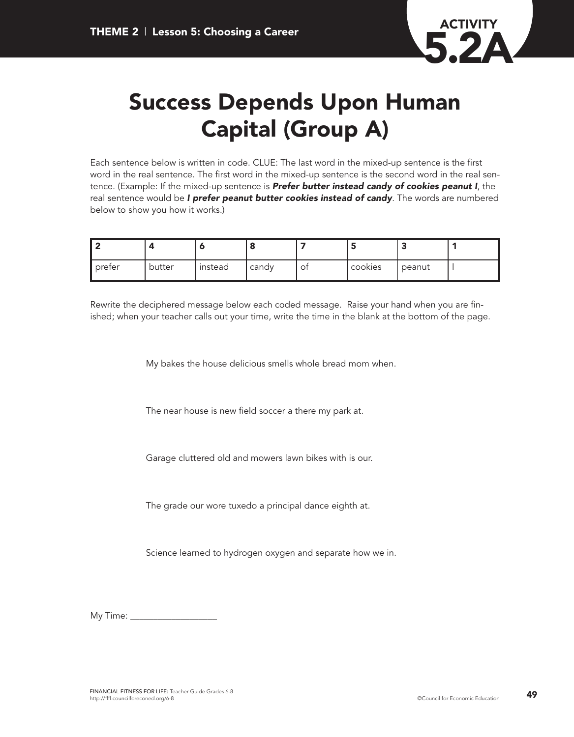

## **Success Depends Upon Human Capital (Group A)**

Each sentence below is written in code. CLUE: The last word in the mixed-up sentence is the first word in the real sentence. The first word in the mixed-up sentence is the second word in the real sentence. (Example: If the mixed-up sentence is *Prefer butter instead candy of cookies peanut I*, the real sentence would be *I prefer peanut butter cookies instead of candy*. The words are numbered below to show you how it works.)

| ∥ preter | butter | instead | candy | O1 | cookies | peanut |  |
|----------|--------|---------|-------|----|---------|--------|--|

Rewrite the deciphered message below each coded message. Raise your hand when you are finished; when your teacher calls out your time, write the time in the blank at the bottom of the page.

My bakes the house delicious smells whole bread mom when.

The near house is new field soccer a there my park at.

Garage cluttered old and mowers lawn bikes with is our.

The grade our wore tuxedo a principal dance eighth at.

Science learned to hydrogen oxygen and separate how we in.

My Time: \_\_\_\_\_\_\_\_\_\_\_\_\_\_\_\_\_\_\_